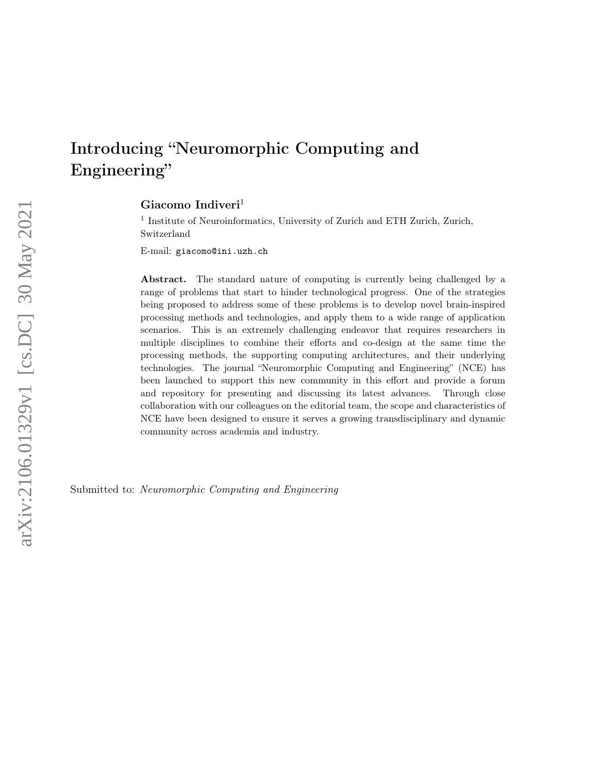# Introducing "Neuromorphic Computing and Engineering"

Giacomo Indiveri<sup>1</sup>

<sup>1</sup> Institute of Neuroinformatics, University of Zurich and ETH Zurich, Zurich, Switzerland

E-mail: giacomo@ini.uzh.ch

Abstract. The standard nature of computing is currently being challenged by a range of problems that start to hinder technological progress. One of the strategies being proposed to address some of these problems is to develop novel brain-inspired processing methods and technologies, and apply them to a wide range of application scenarios. This is an extremely challenging endeavor that requires researchers in multiple disciplines to combine their efforts and co-design at the same time the processing methods, the supporting computing architectures, and their underlying technologies. The journal "Neuromorphic Computing and Engineering" (NCE) has been launched to support this new community in this effort and provide a forum and repository for presenting and discussing its latest advances. Through close collaboration with our colleagues on the editorial team, the scope and characteristics of NCE have been designed to ensure it serves a growing transdisciplinary and dynamic community across academia and industry.

Submitted to: Neuromorphic Computing and Engineering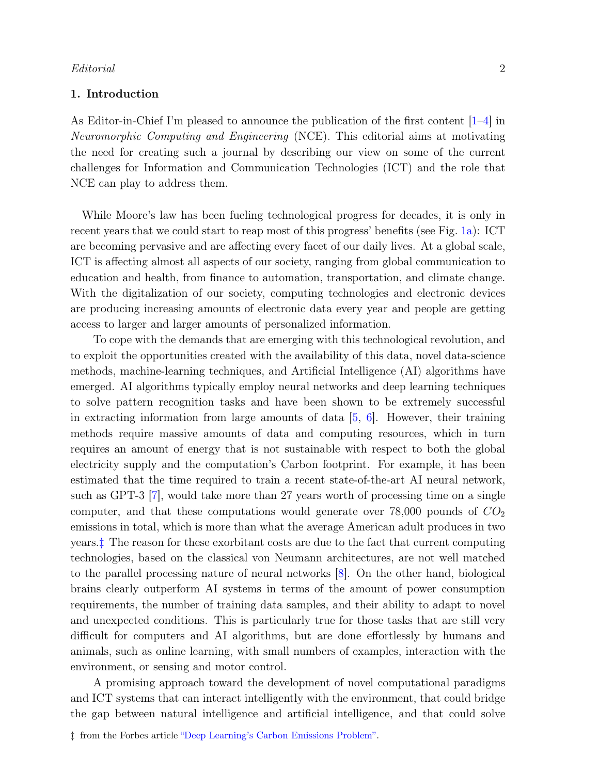#### 1. Introduction

As Editor-in-Chief I'm pleased to announce the publication of the first content [\[1–](#page-6-0)[4\]](#page-6-1) in Neuromorphic Computing and Engineering (NCE). This editorial aims at motivating the need for creating such a journal by describing our view on some of the current challenges for Information and Communication Technologies (ICT) and the role that NCE can play to address them.

While Moore's law has been fueling technological progress for decades, it is only in recent years that we could start to reap most of this progress' benefits (see Fig. [1a\)](#page-2-0): ICT are becoming pervasive and are affecting every facet of our daily lives. At a global scale, ICT is affecting almost all aspects of our society, ranging from global communication to education and health, from finance to automation, transportation, and climate change. With the digitalization of our society, computing technologies and electronic devices are producing increasing amounts of electronic data every year and people are getting access to larger and larger amounts of personalized information.

To cope with the demands that are emerging with this technological revolution, and to exploit the opportunities created with the availability of this data, novel data-science methods, machine-learning techniques, and Artificial Intelligence (AI) algorithms have emerged. AI algorithms typically employ neural networks and deep learning techniques to solve pattern recognition tasks and have been shown to be extremely successful in extracting information from large amounts of data  $[5, 6]$  $[5, 6]$  $[5, 6]$ . However, their training methods require massive amounts of data and computing resources, which in turn requires an amount of energy that is not sustainable with respect to both the global electricity supply and the computation's Carbon footprint. For example, it has been estimated that the time required to train a recent state-of-the-art AI neural network, such as GPT-3 [\[7\]](#page-6-4), would take more than 27 years worth of processing time on a single computer, and that these computations would generate over  $78,000$  pounds of  $CO<sub>2</sub>$ emissions in total, which is more than what the average American adult produces in two years.[‡](#page-1-0) The reason for these exorbitant costs are due to the fact that current computing technologies, based on the classical von Neumann architectures, are not well matched to the parallel processing nature of neural networks [\[8\]](#page-7-0). On the other hand, biological brains clearly outperform AI systems in terms of the amount of power consumption requirements, the number of training data samples, and their ability to adapt to novel and unexpected conditions. This is particularly true for those tasks that are still very difficult for computers and AI algorithms, but are done effortlessly by humans and animals, such as online learning, with small numbers of examples, interaction with the environment, or sensing and motor control.

A promising approach toward the development of novel computational paradigms and ICT systems that can interact intelligently with the environment, that could bridge the gap between natural intelligence and artificial intelligence, and that could solve

<span id="page-1-0"></span><sup>‡</sup> from the Forbes article ["Deep Learning's Carbon Emissions Problem".](https://www.forbes.com/sites/robtoews/2020/06/17/deep-learnings-climate-change-problem/)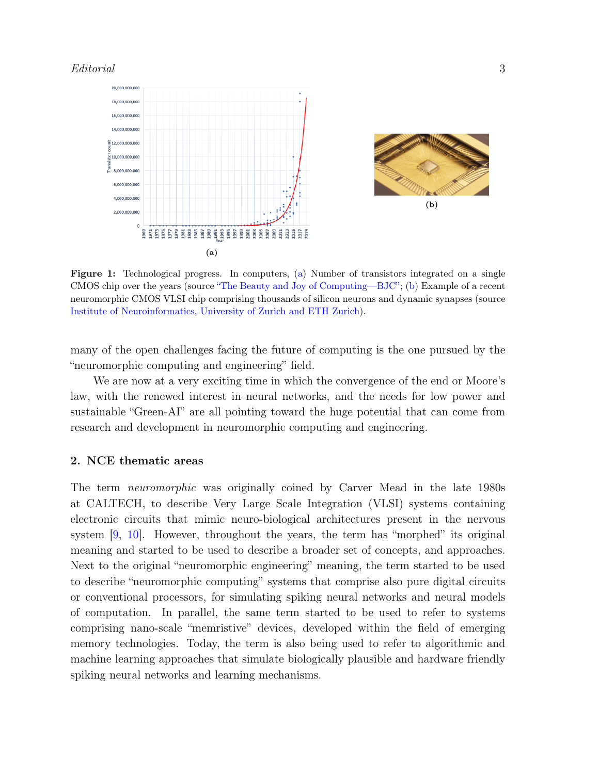<span id="page-2-0"></span>

Figure 1: Technological progress. In computers, [\(a\)](#page-2-0) Number of transistors integrated on a single CMOS chip over the years (source ["The Beauty and Joy of Computing—BJC";](https://bjc.edc.org/March2019/bjc-r/course/bjc4nyc.html) [\(b\)](#page-2-0) Example of a recent neuromorphic CMOS VLSI chip comprising thousands of silicon neurons and dynamic synapses (source [Institute of Neuroinformatics, University of Zurich and ETH Zurich\)](http://www.ini.uzh.ch).

many of the open challenges facing the future of computing is the one pursued by the "neuromorphic computing and engineering" field.

We are now at a very exciting time in which the convergence of the end or Moore's law, with the renewed interest in neural networks, and the needs for low power and sustainable "Green-AI" are all pointing toward the huge potential that can come from research and development in neuromorphic computing and engineering.

#### 2. NCE thematic areas

The term neuromorphic was originally coined by Carver Mead in the late 1980s at CALTECH, to describe Very Large Scale Integration (VLSI) systems containing electronic circuits that mimic neuro-biological architectures present in the nervous system [\[9,](#page-7-1) [10\]](#page-7-2). However, throughout the years, the term has "morphed" its original meaning and started to be used to describe a broader set of concepts, and approaches. Next to the original "neuromorphic engineering" meaning, the term started to be used to describe "neuromorphic computing" systems that comprise also pure digital circuits or conventional processors, for simulating spiking neural networks and neural models of computation. In parallel, the same term started to be used to refer to systems comprising nano-scale "memristive" devices, developed within the field of emerging memory technologies. Today, the term is also being used to refer to algorithmic and machine learning approaches that simulate biologically plausible and hardware friendly spiking neural networks and learning mechanisms.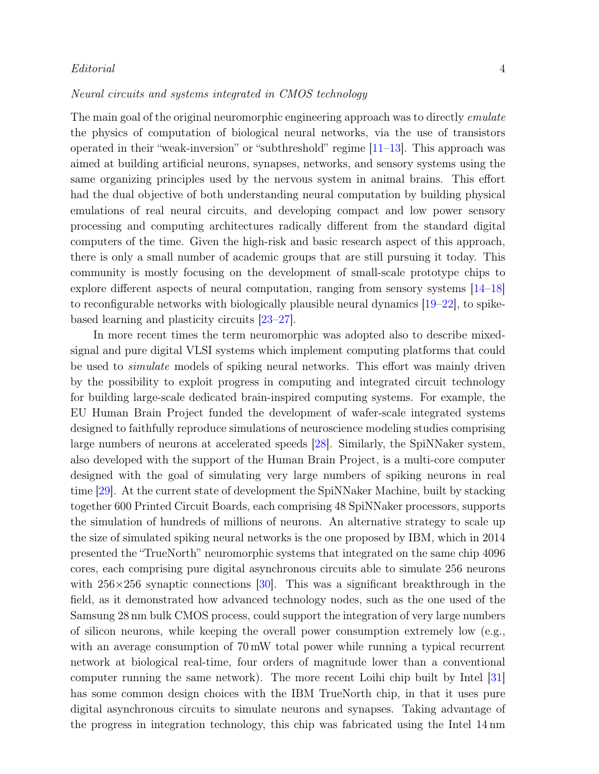#### Neural circuits and systems integrated in CMOS technology

The main goal of the original neuromorphic engineering approach was to directly *emulate* the physics of computation of biological neural networks, via the use of transistors operated in their "weak-inversion" or "subthreshold" regime  $[11-13]$  $[11-13]$ . This approach was aimed at building artificial neurons, synapses, networks, and sensory systems using the same organizing principles used by the nervous system in animal brains. This effort had the dual objective of both understanding neural computation by building physical emulations of real neural circuits, and developing compact and low power sensory processing and computing architectures radically different from the standard digital computers of the time. Given the high-risk and basic research aspect of this approach, there is only a small number of academic groups that are still pursuing it today. This community is mostly focusing on the development of small-scale prototype chips to explore different aspects of neural computation, ranging from sensory systems [\[14–](#page-7-5)[18\]](#page-7-6) to reconfigurable networks with biologically plausible neural dynamics [\[19–](#page-7-7)[22\]](#page-7-8), to spikebased learning and plasticity circuits [\[23–](#page-7-9)[27\]](#page-8-0).

In more recent times the term neuromorphic was adopted also to describe mixedsignal and pure digital VLSI systems which implement computing platforms that could be used to simulate models of spiking neural networks. This effort was mainly driven by the possibility to exploit progress in computing and integrated circuit technology for building large-scale dedicated brain-inspired computing systems. For example, the EU Human Brain Project funded the development of wafer-scale integrated systems designed to faithfully reproduce simulations of neuroscience modeling studies comprising large numbers of neurons at accelerated speeds [\[28\]](#page-8-1). Similarly, the SpiNNaker system, also developed with the support of the Human Brain Project, is a multi-core computer designed with the goal of simulating very large numbers of spiking neurons in real time [\[29\]](#page-8-2). At the current state of development the SpiNNaker Machine, built by stacking together 600 Printed Circuit Boards, each comprising 48 SpiNNaker processors, supports the simulation of hundreds of millions of neurons. An alternative strategy to scale up the size of simulated spiking neural networks is the one proposed by IBM, which in 2014 presented the "TrueNorth" neuromorphic systems that integrated on the same chip 4096 cores, each comprising pure digital asynchronous circuits able to simulate 256 neurons with  $256\times256$  synaptic connections [\[30\]](#page-8-3). This was a significant breakthrough in the field, as it demonstrated how advanced technology nodes, such as the one used of the Samsung 28 nm bulk CMOS process, could support the integration of very large numbers of silicon neurons, while keeping the overall power consumption extremely low (e.g., with an average consumption of  $70 \text{ mW}$  total power while running a typical recurrent network at biological real-time, four orders of magnitude lower than a conventional computer running the same network). The more recent Loihi chip built by Intel [\[31\]](#page-8-4) has some common design choices with the IBM TrueNorth chip, in that it uses pure digital asynchronous circuits to simulate neurons and synapses. Taking advantage of the progress in integration technology, this chip was fabricated using the Intel 14 nm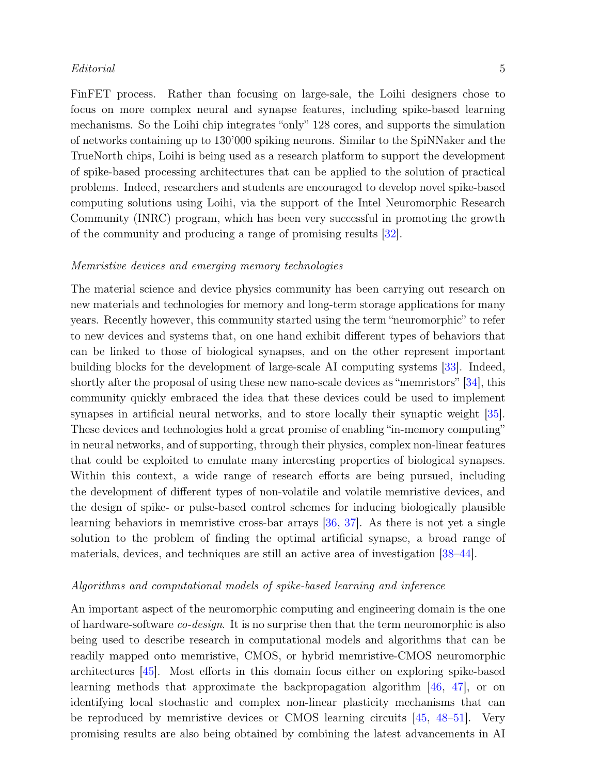### $Editorial$  5

FinFET process. Rather than focusing on large-sale, the Loihi designers chose to focus on more complex neural and synapse features, including spike-based learning mechanisms. So the Loihi chip integrates "only" 128 cores, and supports the simulation of networks containing up to 130'000 spiking neurons. Similar to the SpiNNaker and the TrueNorth chips, Loihi is being used as a research platform to support the development of spike-based processing architectures that can be applied to the solution of practical problems. Indeed, researchers and students are encouraged to develop novel spike-based computing solutions using Loihi, via the support of the Intel Neuromorphic Research Community (INRC) program, which has been very successful in promoting the growth of the community and producing a range of promising results [\[32\]](#page-8-5).

#### Memristive devices and emerging memory technologies

The material science and device physics community has been carrying out research on new materials and technologies for memory and long-term storage applications for many years. Recently however, this community started using the term "neuromorphic" to refer to new devices and systems that, on one hand exhibit different types of behaviors that can be linked to those of biological synapses, and on the other represent important building blocks for the development of large-scale AI computing systems [\[33\]](#page-8-6). Indeed, shortly after the proposal of using these new nano-scale devices as "memristors" [\[34\]](#page-8-7), this community quickly embraced the idea that these devices could be used to implement synapses in artificial neural networks, and to store locally their synaptic weight [\[35\]](#page-8-8). These devices and technologies hold a great promise of enabling "in-memory computing" in neural networks, and of supporting, through their physics, complex non-linear features that could be exploited to emulate many interesting properties of biological synapses. Within this context, a wide range of research efforts are being pursued, including the development of different types of non-volatile and volatile memristive devices, and the design of spike- or pulse-based control schemes for inducing biologically plausible learning behaviors in memristive cross-bar arrays [\[36,](#page-8-9) [37\]](#page-8-10). As there is not yet a single solution to the problem of finding the optimal artificial synapse, a broad range of materials, devices, and techniques are still an active area of investigation [\[38–](#page-9-0)[44\]](#page-9-1).

#### Algorithms and computational models of spike-based learning and inference

An important aspect of the neuromorphic computing and engineering domain is the one of hardware-software co-design. It is no surprise then that the term neuromorphic is also being used to describe research in computational models and algorithms that can be readily mapped onto memristive, CMOS, or hybrid memristive-CMOS neuromorphic architectures [\[45\]](#page-9-2). Most efforts in this domain focus either on exploring spike-based learning methods that approximate the backpropagation algorithm [\[46,](#page-9-3) [47\]](#page-9-4), or on identifying local stochastic and complex non-linear plasticity mechanisms that can be reproduced by memristive devices or CMOS learning circuits [\[45,](#page-9-2) [48–](#page-9-5)[51\]](#page-9-6). Very promising results are also being obtained by combining the latest advancements in AI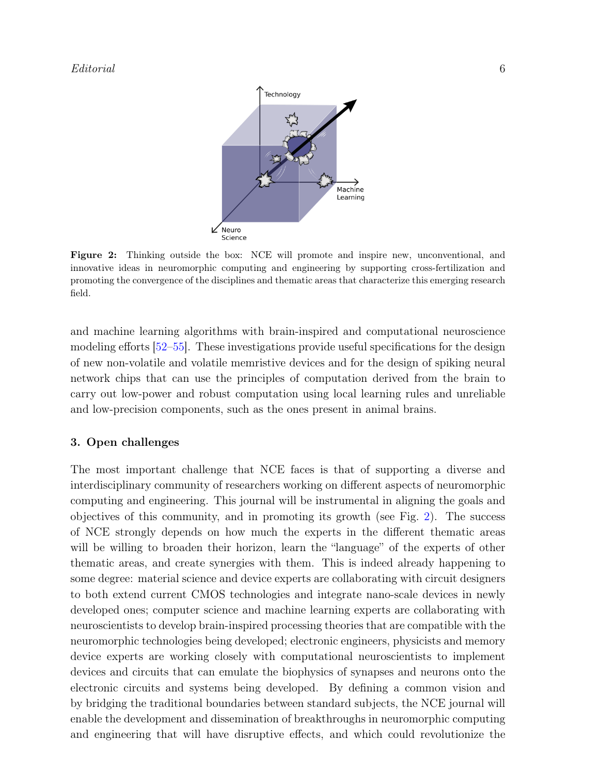<span id="page-5-0"></span>

Figure 2: Thinking outside the box: NCE will promote and inspire new, unconventional, and innovative ideas in neuromorphic computing and engineering by supporting cross-fertilization and promoting the convergence of the disciplines and thematic areas that characterize this emerging research field.

and machine learning algorithms with brain-inspired and computational neuroscience modeling efforts [\[52–](#page-9-7)[55\]](#page-10-0). These investigations provide useful specifications for the design of new non-volatile and volatile memristive devices and for the design of spiking neural network chips that can use the principles of computation derived from the brain to carry out low-power and robust computation using local learning rules and unreliable and low-precision components, such as the ones present in animal brains.

#### 3. Open challenges

The most important challenge that NCE faces is that of supporting a diverse and interdisciplinary community of researchers working on different aspects of neuromorphic computing and engineering. This journal will be instrumental in aligning the goals and objectives of this community, and in promoting its growth (see Fig. [2\)](#page-5-0). The success of NCE strongly depends on how much the experts in the different thematic areas will be willing to broaden their horizon, learn the "language" of the experts of other thematic areas, and create synergies with them. This is indeed already happening to some degree: material science and device experts are collaborating with circuit designers to both extend current CMOS technologies and integrate nano-scale devices in newly developed ones; computer science and machine learning experts are collaborating with neuroscientists to develop brain-inspired processing theories that are compatible with the neuromorphic technologies being developed; electronic engineers, physicists and memory device experts are working closely with computational neuroscientists to implement devices and circuits that can emulate the biophysics of synapses and neurons onto the electronic circuits and systems being developed. By defining a common vision and by bridging the traditional boundaries between standard subjects, the NCE journal will enable the development and dissemination of breakthroughs in neuromorphic computing and engineering that will have disruptive effects, and which could revolutionize the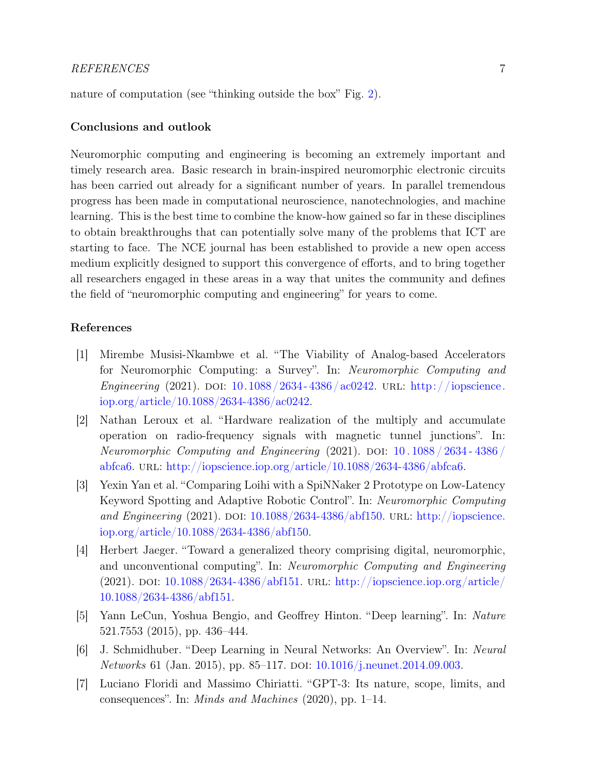nature of computation (see "thinking outside the box" Fig. [2\)](#page-5-0).

#### Conclusions and outlook

Neuromorphic computing and engineering is becoming an extremely important and timely research area. Basic research in brain-inspired neuromorphic electronic circuits has been carried out already for a significant number of years. In parallel tremendous progress has been made in computational neuroscience, nanotechnologies, and machine learning. This is the best time to combine the know-how gained so far in these disciplines to obtain breakthroughs that can potentially solve many of the problems that ICT are starting to face. The NCE journal has been established to provide a new open access medium explicitly designed to support this convergence of efforts, and to bring together all researchers engaged in these areas in a way that unites the community and defines the field of "neuromorphic computing and engineering" for years to come.

## References

- <span id="page-6-0"></span>[1] Mirembe Musisi-Nkambwe et al. "The Viability of Analog-based Accelerators for Neuromorphic Computing: a Survey". In: Neuromorphic Computing and Engineering (2021). DOI:  $10.1088/2634 - 4386/\text{ac}0242$ . URL: [http://iopscience.](http://iopscience.iop.org/article/10.1088/2634-4386/ac0242) [iop.org/article/10.1088/2634-4386/ac0242.](http://iopscience.iop.org/article/10.1088/2634-4386/ac0242)
- [2] Nathan Leroux et al. "Hardware realization of the multiply and accumulate operation on radio-frequency signals with magnetic tunnel junctions". In: Neuromorphic Computing and Engineering  $(2021)$ . DOI: 10. 1088 / 2634 - 4386 / [abfca6.](https://doi.org/10.1088/2634-4386/abfca6) url: [http://iopscience.iop.org/article/10.1088/2634-4386/abfca6.](http://iopscience.iop.org/article/10.1088/2634-4386/abfca6)
- [3] Yexin Yan et al. "Comparing Loihi with a SpiNNaker 2 Prototype on Low-Latency Keyword Spotting and Adaptive Robotic Control". In: Neuromorphic Computing and Engineering (2021). DOI:  $10.1088/2634-4386/ab150$ . URL: [http://iopscience.](http://iopscience.iop.org/article/10.1088/2634-4386/abf150) [iop.org/article/10.1088/2634-4386/abf150.](http://iopscience.iop.org/article/10.1088/2634-4386/abf150)
- <span id="page-6-1"></span>[4] Herbert Jaeger. "Toward a generalized theory comprising digital, neuromorphic, and unconventional computing". In: Neuromorphic Computing and Engineering (2021). DOI:  $10.1088/2634-4386/abf151$ . URL: [http://iopscience.iop.org/article/](http://iopscience.iop.org/article/10.1088/2634-4386/abf151) [10.1088/2634-4386/abf151.](http://iopscience.iop.org/article/10.1088/2634-4386/abf151)
- <span id="page-6-2"></span>[5] Yann LeCun, Yoshua Bengio, and Geoffrey Hinton. "Deep learning". In: Nature 521.7553 (2015), pp. 436–444.
- <span id="page-6-3"></span>[6] J. Schmidhuber. "Deep Learning in Neural Networks: An Overview". In: Neural Networks 61 (Jan. 2015), pp. 85–117. DOI: [10.1016/j.neunet.2014.09.003.](https://doi.org/10.1016/j.neunet.2014.09.003)
- <span id="page-6-4"></span>[7] Luciano Floridi and Massimo Chiriatti. "GPT-3: Its nature, scope, limits, and consequences". In: Minds and Machines (2020), pp. 1–14.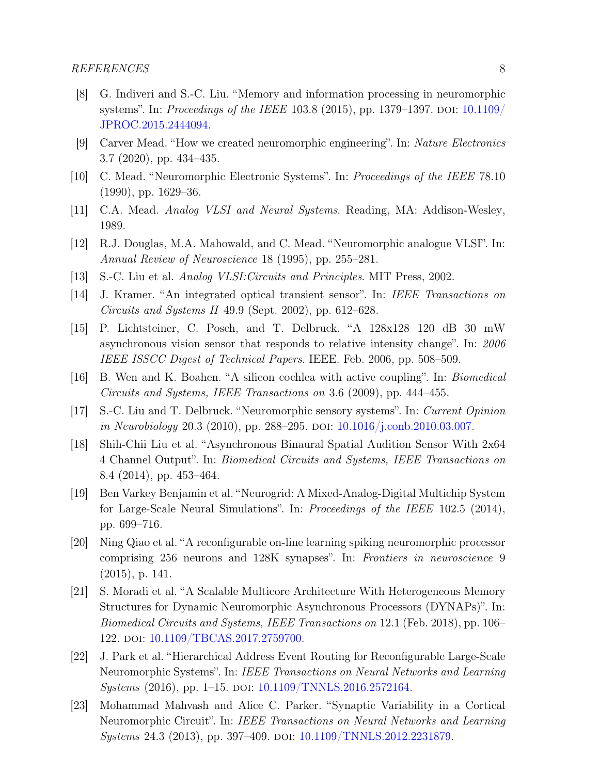- <span id="page-7-0"></span>[8] G. Indiveri and S.-C. Liu. "Memory and information processing in neuromorphic systems". In: *Proceedings of the IEEE* 103.8 (2015), pp. 1379–1397. DOI:  $10.1109/$ [JPROC.2015.2444094.](https://doi.org/10.1109/JPROC.2015.2444094)
- <span id="page-7-1"></span>[9] Carver Mead. "How we created neuromorphic engineering". In: Nature Electronics 3.7 (2020), pp. 434–435.
- <span id="page-7-2"></span>[10] C. Mead. "Neuromorphic Electronic Systems". In: Proceedings of the IEEE 78.10 (1990), pp. 1629–36.
- <span id="page-7-3"></span>[11] C.A. Mead. Analog VLSI and Neural Systems. Reading, MA: Addison-Wesley, 1989.
- [12] R.J. Douglas, M.A. Mahowald, and C. Mead. "Neuromorphic analogue VLSI". In: Annual Review of Neuroscience 18 (1995), pp. 255–281.
- <span id="page-7-4"></span>[13] S.-C. Liu et al. *Analog VLSI:Circuits and Principles*. MIT Press, 2002.
- <span id="page-7-5"></span>[14] J. Kramer. "An integrated optical transient sensor". In: IEEE Transactions on Circuits and Systems II 49.9 (Sept. 2002), pp. 612–628.
- [15] P. Lichtsteiner, C. Posch, and T. Delbruck. "A 128x128 120 dB 30 mW asynchronous vision sensor that responds to relative intensity change". In: 2006 IEEE ISSCC Digest of Technical Papers. IEEE. Feb. 2006, pp. 508–509.
- [16] B. Wen and K. Boahen. "A silicon cochlea with active coupling". In: Biomedical Circuits and Systems, IEEE Transactions on 3.6 (2009), pp. 444–455.
- [17] S.-C. Liu and T. Delbruck. "Neuromorphic sensory systems". In: Current Opinion in Neurobiology 20.3 (2010), pp. 288-295. DOI: [10.1016/j.conb.2010.03.007.](https://doi.org/10.1016/j.conb.2010.03.007)
- <span id="page-7-6"></span>[18] Shih-Chii Liu et al. "Asynchronous Binaural Spatial Audition Sensor With 2x64 4 Channel Output". In: Biomedical Circuits and Systems, IEEE Transactions on 8.4 (2014), pp. 453–464.
- <span id="page-7-7"></span>[19] Ben Varkey Benjamin et al. "Neurogrid: A Mixed-Analog-Digital Multichip System for Large-Scale Neural Simulations". In: Proceedings of the IEEE 102.5 (2014), pp. 699–716.
- [20] Ning Qiao et al. "A reconfigurable on-line learning spiking neuromorphic processor comprising 256 neurons and 128K synapses". In: Frontiers in neuroscience 9 (2015), p. 141.
- [21] S. Moradi et al. "A Scalable Multicore Architecture With Heterogeneous Memory Structures for Dynamic Neuromorphic Asynchronous Processors (DYNAPs)". In: Biomedical Circuits and Systems, IEEE Transactions on 12.1 (Feb. 2018), pp. 106– 122. doi: [10.1109/TBCAS.2017.2759700.](https://doi.org/10.1109/TBCAS.2017.2759700)
- <span id="page-7-8"></span>[22] J. Park et al. "Hierarchical Address Event Routing for Reconfigurable Large-Scale Neuromorphic Systems". In: IEEE Transactions on Neural Networks and Learning Systems (2016), pp. 1–15. doi: [10.1109/TNNLS.2016.2572164.](https://doi.org/10.1109/TNNLS.2016.2572164)
- <span id="page-7-9"></span>[23] Mohammad Mahvash and Alice C. Parker. "Synaptic Variability in a Cortical Neuromorphic Circuit". In: IEEE Transactions on Neural Networks and Learning Systems 24.3 (2013), pp. 397–409. DOI: [10.1109/TNNLS.2012.2231879.](https://doi.org/10.1109/TNNLS.2012.2231879)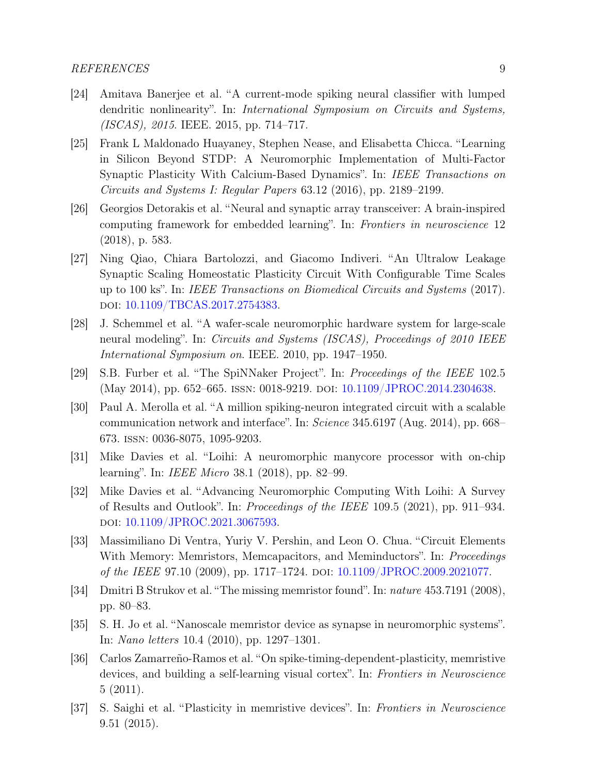- [24] Amitava Banerjee et al. "A current-mode spiking neural classifier with lumped dendritic nonlinearity". In: *International Symposium on Circuits and Systems*, (ISCAS), 2015. IEEE. 2015, pp. 714–717.
- [25] Frank L Maldonado Huayaney, Stephen Nease, and Elisabetta Chicca. "Learning in Silicon Beyond STDP: A Neuromorphic Implementation of Multi-Factor Synaptic Plasticity With Calcium-Based Dynamics". In: IEEE Transactions on Circuits and Systems I: Regular Papers 63.12 (2016), pp. 2189–2199.
- [26] Georgios Detorakis et al. "Neural and synaptic array transceiver: A brain-inspired computing framework for embedded learning". In: Frontiers in neuroscience 12 (2018), p. 583.
- <span id="page-8-0"></span>[27] Ning Qiao, Chiara Bartolozzi, and Giacomo Indiveri. "An Ultralow Leakage Synaptic Scaling Homeostatic Plasticity Circuit With Configurable Time Scales up to 100 ks". In: IEEE Transactions on Biomedical Circuits and Systems (2017). doi: [10.1109/TBCAS.2017.2754383.](https://doi.org/10.1109/TBCAS.2017.2754383)
- <span id="page-8-1"></span>[28] J. Schemmel et al. "A wafer-scale neuromorphic hardware system for large-scale neural modeling". In: Circuits and Systems (ISCAS), Proceedings of 2010 IEEE International Symposium on. IEEE. 2010, pp. 1947–1950.
- <span id="page-8-2"></span>[29] S.B. Furber et al. "The SpiNNaker Project". In: Proceedings of the IEEE 102.5 (May 2014), pp. 652–665. ISSN: 0018-9219. DOI: [10.1109/JPROC.2014.2304638.](https://doi.org/10.1109/JPROC.2014.2304638)
- <span id="page-8-3"></span>[30] Paul A. Merolla et al. "A million spiking-neuron integrated circuit with a scalable communication network and interface". In: Science 345.6197 (Aug. 2014), pp. 668– 673. issn: 0036-8075, 1095-9203.
- <span id="page-8-4"></span>[31] Mike Davies et al. "Loihi: A neuromorphic manycore processor with on-chip learning". In: IEEE Micro 38.1 (2018), pp. 82–99.
- <span id="page-8-5"></span>[32] Mike Davies et al. "Advancing Neuromorphic Computing With Loihi: A Survey of Results and Outlook". In: Proceedings of the IEEE 109.5 (2021), pp. 911–934. doi: [10.1109/JPROC.2021.3067593.](https://doi.org/10.1109/JPROC.2021.3067593)
- <span id="page-8-6"></span>[33] Massimiliano Di Ventra, Yuriy V. Pershin, and Leon O. Chua. "Circuit Elements With Memory: Memristors, Memcapacitors, and Meminductors". In: *Proceedings* of the IEEE 97.10 (2009), pp. 1717–1724. DOI: [10.1109/JPROC.2009.2021077.](https://doi.org/10.1109/JPROC.2009.2021077)
- <span id="page-8-7"></span>[34] Dmitri B Strukov et al. "The missing memristor found". In: nature 453.7191 (2008), pp. 80–83.
- <span id="page-8-8"></span>[35] S. H. Jo et al. "Nanoscale memristor device as synapse in neuromorphic systems". In: Nano letters 10.4 (2010), pp. 1297–1301.
- <span id="page-8-9"></span>[36] Carlos Zamarreño-Ramos et al. "On spike-timing-dependent-plasticity, memristive devices, and building a self-learning visual cortex". In: Frontiers in Neuroscience 5 (2011).
- <span id="page-8-10"></span>[37] S. Saighi et al. "Plasticity in memristive devices". In: Frontiers in Neuroscience 9.51 (2015).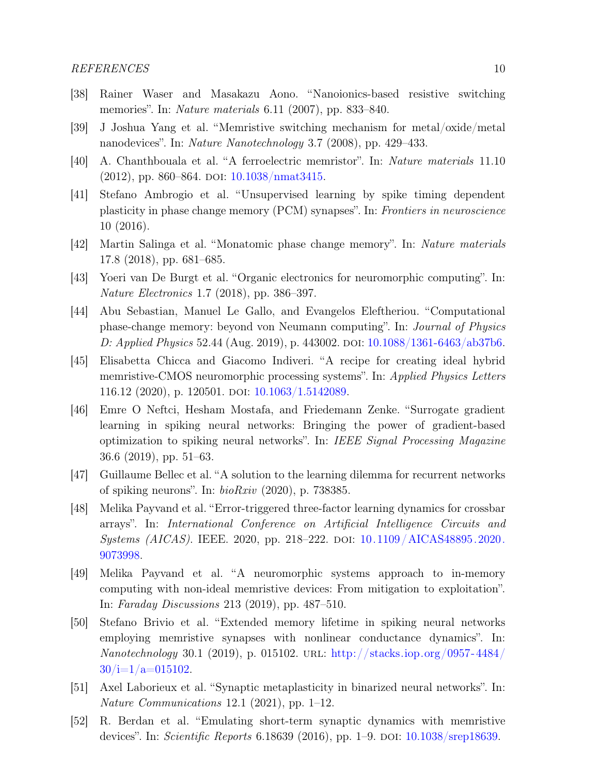- <span id="page-9-0"></span>[38] Rainer Waser and Masakazu Aono. "Nanoionics-based resistive switching memories". In: *Nature materials* 6.11 (2007), pp. 833–840.
- [39] J Joshua Yang et al. "Memristive switching mechanism for metal/oxide/metal nanodevices". In: Nature Nanotechnology 3.7 (2008), pp. 429–433.
- [40] A. Chanthbouala et al. "A ferroelectric memristor". In: Nature materials 11.10 (2012), pp. 860–864. DOI: [10.1038/nmat3415.](https://doi.org/10.1038/nmat3415)
- [41] Stefano Ambrogio et al. "Unsupervised learning by spike timing dependent plasticity in phase change memory (PCM) synapses". In: Frontiers in neuroscience 10 (2016).
- [42] Martin Salinga et al. "Monatomic phase change memory". In: Nature materials 17.8 (2018), pp. 681–685.
- [43] Yoeri van De Burgt et al. "Organic electronics for neuromorphic computing". In: Nature Electronics 1.7 (2018), pp. 386–397.
- <span id="page-9-1"></span>[44] Abu Sebastian, Manuel Le Gallo, and Evangelos Eleftheriou. "Computational phase-change memory: beyond von Neumann computing". In: Journal of Physics D: Applied Physics 52.44 (Aug. 2019), p. 443002. DOI:  $10.1088/1361-6463/ab37b6$ .
- <span id="page-9-2"></span>[45] Elisabetta Chicca and Giacomo Indiveri. "A recipe for creating ideal hybrid memristive-CMOS neuromorphic processing systems". In: Applied Physics Letters 116.12 (2020), p. 120501. doi: [10.1063/1.5142089.](https://doi.org/10.1063/1.5142089)
- <span id="page-9-3"></span>[46] Emre O Neftci, Hesham Mostafa, and Friedemann Zenke. "Surrogate gradient learning in spiking neural networks: Bringing the power of gradient-based optimization to spiking neural networks". In: IEEE Signal Processing Magazine 36.6 (2019), pp. 51–63.
- <span id="page-9-4"></span>[47] Guillaume Bellec et al. "A solution to the learning dilemma for recurrent networks of spiking neurons". In:  $bioRxiv$  (2020), p. 738385.
- <span id="page-9-5"></span>[48] Melika Payvand et al. "Error-triggered three-factor learning dynamics for crossbar arrays". In: International Conference on Artificial Intelligence Circuits and Systems (AICAS). IEEE. 2020, pp. 218–222. doi: [10.1109/AICAS48895.2020.](https://doi.org/10.1109/AICAS48895.2020.9073998) [9073998.](https://doi.org/10.1109/AICAS48895.2020.9073998)
- [49] Melika Payvand et al. "A neuromorphic systems approach to in-memory computing with non-ideal memristive devices: From mitigation to exploitation". In: Faraday Discussions 213 (2019), pp. 487–510.
- [50] Stefano Brivio et al. "Extended memory lifetime in spiking neural networks employing memristive synapses with nonlinear conductance dynamics". In: Nanotechnology 30.1 (2019), p. 015102. URL: [http://stacks.iop.org/0957-4484/](http://stacks.iop.org/0957-4484/30/i=1/a=015102)  $30/i=1/a=015102$ .
- <span id="page-9-6"></span>[51] Axel Laborieux et al. "Synaptic metaplasticity in binarized neural networks". In: Nature Communications 12.1 (2021), pp. 1–12.
- <span id="page-9-7"></span>[52] R. Berdan et al. "Emulating short-term synaptic dynamics with memristive devices". In: Scientific Reports 6.18639 (2016), pp. 1–9. DOI: [10.1038/srep18639.](https://doi.org/10.1038/srep18639)